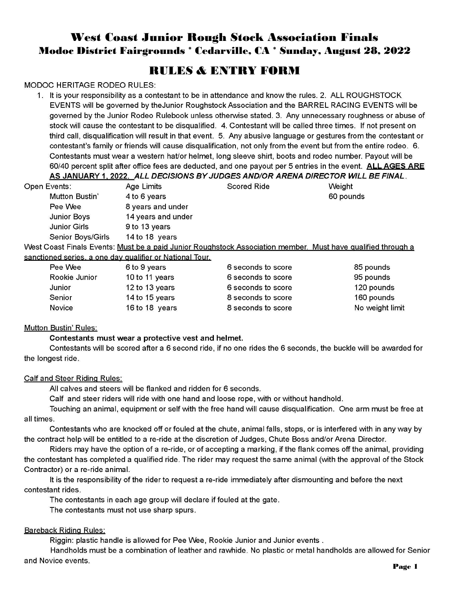# **West Coast Junior Rough Stock Association Finals Modoc District Fairgrounds \* Cedarville, CA \* Sunday, August 28, 2022**

## **RIILES & ENTRY FORM**

## **MODOC HERITAGE RODEO RULES:**

1. It is your responsibility as a contestant to be in attendance and know the rules. 2. ALL ROUGHSTOCK EVENTS will be governed by the Junior Roughstock Association and the BARREL RACING EVENTS will be governed by the Junior Rodeo Rulebook unless otherwise stated. 3. Any unnecessary roughness or abuse of stock will cause the contestant to be disgualified. 4. Contestant will be called three times. If not present on third call, disqualification will result in that event. 5. Any abusive language or gestures from the contestant or contestant's family or friends will cause disqualification, not only from the event but from the entire rodeo. 6. Contestants must wear a western hat/or helmet, long sleeve shirt, boots and rodeo number. Payout will be 60/40 percent split after office fees are deducted, and one payout per 5 entries in the event. ALLAGES ARE AS JANUARY 1, 2022. ALL DECISIONS BY JUDGES AND/OR ARENA DIRECTOR WILL BE FINAL

| Open Events:        | Age Limits                                                                                                   | <b>Scored Ride</b> | Weight    |
|---------------------|--------------------------------------------------------------------------------------------------------------|--------------------|-----------|
| Mutton Bustin'      | 4 to 6 years                                                                                                 |                    | 60 pounds |
| Pee Wee             | 8 years and under                                                                                            |                    |           |
| Junior Boys         | 14 years and under                                                                                           |                    |           |
| <b>Junior Girls</b> | 9 to 13 years                                                                                                |                    |           |
| Senior Boys/Girls   | 14 to 18 years                                                                                               |                    |           |
|                     | West Coast Finals Events: Must be a paid Junior Roughstock Association member. Must have qualified through a |                    |           |

<u>VVest Coast Finals Events: Must be a paid Junior Roughstock Association member. Must have qualified through a</u> sanctioned series, a one day qualifier or National Tour

|               | <u>ioned series, a one day dualitier or National Tour.</u> |                    |                 |
|---------------|------------------------------------------------------------|--------------------|-----------------|
| Pee Wee       | 6 to 9 years                                               | 6 seconds to score | 85 pounds       |
| Rookie Junior | 10 to 11 years                                             | 6 seconds to score | 95 pounds       |
| Junior        | 12 to 13 years                                             | 6 seconds to score | 120 pounds      |
| Senior        | 14 to 15 years                                             | 8 seconds to score | 160 pounds      |
| Novice        | 16 to 18 years                                             | 8 seconds to score | No weight limit |

## **Mutton Bustin' Rules:**

Contestants must wear a protective vest and helmet.

Contestants will be scored after a 6 second ride, if no one rides the 6 seconds, the buckle will be awarded for the longest ride.

#### Calf and Steer Riding Rules:

All calves and steers will be flanked and ridden for 6 seconds.

Calf and steer riders will ride with one hand and loose rope, with or without handhold.

Touching an animal, equipment or self with the free hand will cause disqualification. One arm must be free at all times.

Contestants who are knocked off or fouled at the chute, animal falls, stops, or is interfered with in any way by the contract help will be entitled to a re-ride at the discretion of Judges, Chute Boss and/or Arena Director.

Riders may have the option of a re-ride, or of accepting a marking, if the flank comes off the animal, providing the contestant has completed a qualified ride. The rider may request the same animal (with the approval of the Stock Contractor) or a re-ride animal.

It is the responsibility of the rider to request a re-ride immediately after dismounting and before the next contestant rides.

The contestants in each age group will declare if fouled at the gate.

The contestants must not use sharp spurs.

## **Bareback Riding Rules:**

Riggin: plastic handle is allowed for Pee Wee, Rookie Junior and Junior events.

Handholds must be a combination of leather and rawhide. No plastic or metal handholds are allowed for Senior and Novice events.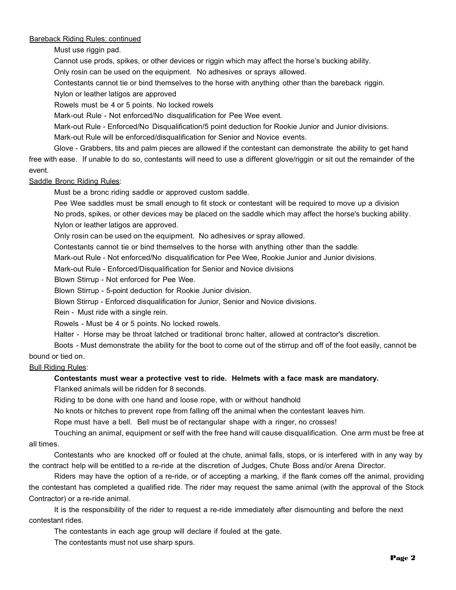#### **Bareback Riding Rules: continued**

Must use riggin pad.

Cannot use prods, spikes, or other devices or riggin which may affect the horse's bucking ability.

Only rosin can be used on the equipment. No adhesives or sprays allowed.

Contestants cannot tie or bind themselves to the horse with anything other than the bareback riggin.

Nylon or leather latigos are approved

Rowels must be 4 or 5 points. No locked rowels

Mark-out Rule - Not enforced/No disqualification for Pee Wee event.

Mark-out Rule - Enforced/No Disqualification/5 point deduction for Rookie Junior and Junior divisions.

Mark-out Rule will be enforced/disqualification for Senior and Novice events.

Glove - Grabbers, tits and palm pieces are allowed if the contestant can demonstrate the ability to get hand free with ease. If unable to do so, contestants will need to use a different glove/riggin or sit out the remainder of the event.

#### Saddle Bronc Riding Rules:

Must be a bronc riding saddle or approved custom saddle.

Pee Wee saddles must be small enough to fit stock or contestant will be required to move up a division No prods, spikes, or other devices may be placed on the saddle which may affect the horse's bucking ability. Nylon or leather latigos are approved.

Only rosin can be used on the equipment. No adhesives or spray allowed.

Contestants cannot tie or bind themselves to the horse with anything other than the saddle.

Mark-out Rule - Not enforced/No disqualification for Pee Wee, Rookie Junior and Junior divisions.

Mark-out Rule - Enforced/Disqualification for Senior and Novice divisions

Blown Stirrup - Not enforced for Pee Wee.

Blown Stirrup - 5-point deduction for Rookie Junior division.

Blown Stirrup - Enforced disqualification for Junior, Senior and Novice divisions.

Rein - Must ride with a single rein.

Rowels - Must be 4 or 5 points. No locked rowels.

Halter - Horse may be throat latched or traditional bronc halter, allowed at contractor's discretion.

Boots - Must demonstrate the ability for the boot to come out of the stirrup and off of the foot easily, cannot be bound or tied on.

#### Bull Riding Rules:

## **Contestants must wear a protective vest to ride. Helmets with a face mask are mandatory.**

Flanked animals will be ridden for 8 seconds.

Riding to be done with one hand and loose rope, with or without handhold

No knots or hitches to prevent rope from falling off the animal when the contestant leaves him.

Rope must have a bell. Bell must be of rectangular shape with a ringer, no crosses!

Touching an animal, equipment or self with the free hand will cause disqualification. One arm must be free at all times.

Contestants who are knocked off or fouled at the chute, animal falls, stops, or is interfered with in any way by the contract help will be entitled to a re-ride at the discretion of Judges, Chute Boss and/or Arena Director.

Riders may have the option of a re-ride, or of accepting a marking, if the flank comes off the animal, providing the contestant has completed a qualified ride. The rider may request the same animal (with the approval of the Stock Contractor) or a re-ride animal.

It is the responsibility of the rider to request a re-ride immediately after dismounting and before the next contestant rides.

The contestants in each age group will declare if fouled at the gate.

The contestants must not use sharp spurs.